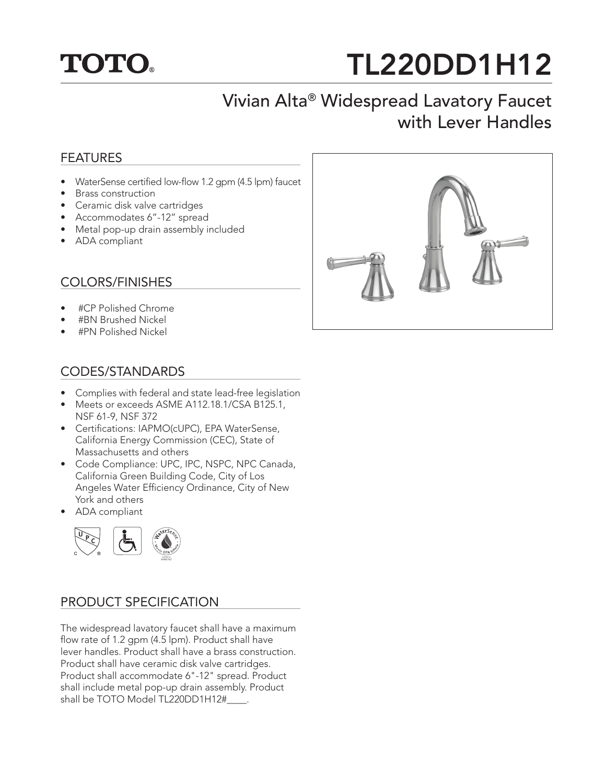

# TL220DD1H12

# Vivian Alta® Widespread Lavatory Faucet with Lever Handles

### FEATURES

- WaterSense certified low-flow 1.2 gpm (4.5 lpm) faucet
- Brass construction
- Ceramic disk valve cartridges
- Accommodates 6"-12" spread
- Metal pop-up drain assembly included
- ADA compliant

## COLORS/FINISHES

- #CP Polished Chrome
- #BN Brushed Nickel
- #PN Polished Nickel

### CODES/STANDARDS

- Complies with federal and state lead-free legislation
- Meets or exceeds ASME A112.18.1/CSA B125.1, NSF 61-9, NSF 372
- Certifications: IAPMO(cUPC), EPA WaterSense, California Energy Commission (CEC), State of Massachusetts and others
- Code Compliance: UPC, IPC, NSPC, NPC Canada, California Green Building Code, City of Los Angeles Water Efficiency Ordinance, City of New York and others
- ADA compliant



#### PRODUCT SPECIFICATION

The widespread lavatory faucet shall have a maximum flow rate of 1.2 gpm (4.5 lpm). Product shall have lever handles. Product shall have a brass construction. Product shall have ceramic disk valve cartridges. Product shall accommodate 6"-12" spread. Product shall include metal pop-up drain assembly. Product shall be TOTO Model TL220DD1H12#\_